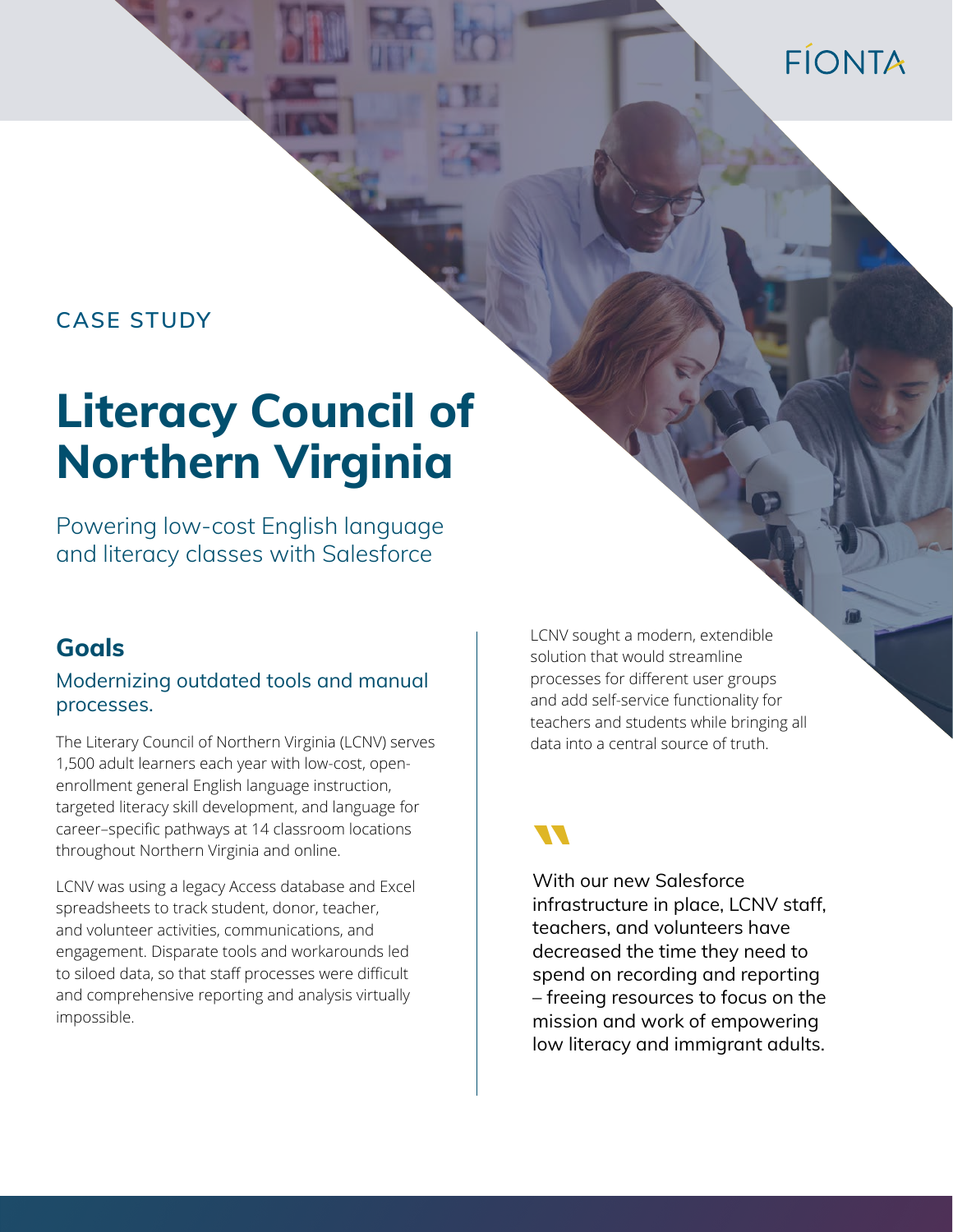## FÍONTA

#### **CASE STUDY**

# **Literacy Council of Northern Virginia**

Powering low-cost English language and literacy classes with Salesforce

#### **Goals**

#### Modernizing outdated tools and manual processes.

The Literary Council of Northern Virginia (LCNV) serves 1,500 adult learners each year with low-cost, openenrollment general English language instruction, targeted literacy skill development, and language for career–specific pathways at 14 classroom locations throughout Northern Virginia and online.

LCNV was using a legacy Access database and Excel spreadsheets to track student, donor, teacher, and volunteer activities, communications, and engagement. Disparate tools and workarounds led to siloed data, so that staff processes were difficult and comprehensive reporting and analysis virtually impossible.

LCNV sought a modern, extendible solution that would streamline processes for different user groups and add self-service functionality for teachers and students while bringing all data into a central source of truth.

**With our new Salesforce** infrastructure in place, LCNV staff, teachers, and volunteers have decreased the time they need to spend on recording and reporting – freeing resources to focus on the mission and work of empowering low literacy and immigrant adults.